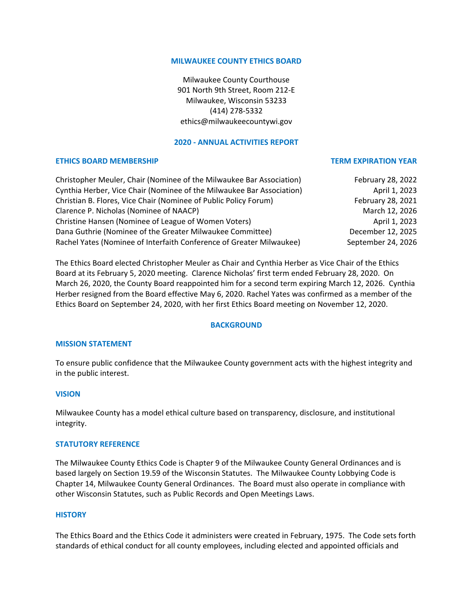## **MILWAUKEE COUNTY ETHICS BOARD**

Milwaukee County Courthouse 901 North 9th Street, Room 212-E Milwaukee, Wisconsin 53233 (414) 278-5332 ethics@milwaukeecountywi.gov

## **2020 - ANNUAL ACTIVITIES REPORT**

## **ETHICS BOARD MEMBERSHIP TERM EXPIRATION YEAR**

# Christopher Meuler, Chair (Nominee of the Milwaukee Bar Association) February 28, 2022 Cynthia Herber, Vice Chair (Nominee of the Milwaukee Bar Association) April 1, 2023 Christian B. Flores, Vice Chair (Nominee of Public Policy Forum) February 28, 2021 Clarence P. Nicholas (Nominee of NAACP) March 12, 2026 Christine Hansen (Nominee of League of Women Voters) and the control of the April 1, 2023 Dana Guthrie (Nominee of the Greater Milwaukee Committee) December 12, 2025 Rachel Yates (Nominee of Interfaith Conference of Greater Milwaukee) September 24, 2026

The Ethics Board elected Christopher Meuler as Chair and Cynthia Herber as Vice Chair of the Ethics Board at its February 5, 2020 meeting. Clarence Nicholas' first term ended February 28, 2020. On March 26, 2020, the County Board reappointed him for a second term expiring March 12, 2026. Cynthia Herber resigned from the Board effective May 6, 2020. Rachel Yates was confirmed as a member of the Ethics Board on September 24, 2020, with her first Ethics Board meeting on November 12, 2020.

## **BACKGROUND**

## **MISSION STATEMENT**

To ensure public confidence that the Milwaukee County government acts with the highest integrity and in the public interest.

#### **VISION**

Milwaukee County has a model ethical culture based on transparency, disclosure, and institutional integrity.

#### **STATUTORY REFERENCE**

The Milwaukee County Ethics Code is Chapter 9 of the Milwaukee County General Ordinances and is based largely on Section 19.59 of the Wisconsin Statutes. The Milwaukee County Lobbying Code is Chapter 14, Milwaukee County General Ordinances. The Board must also operate in compliance with other Wisconsin Statutes, such as Public Records and Open Meetings Laws.

#### **HISTORY**

The Ethics Board and the Ethics Code it administers were created in February, 1975. The Code sets forth standards of ethical conduct for all county employees, including elected and appointed officials and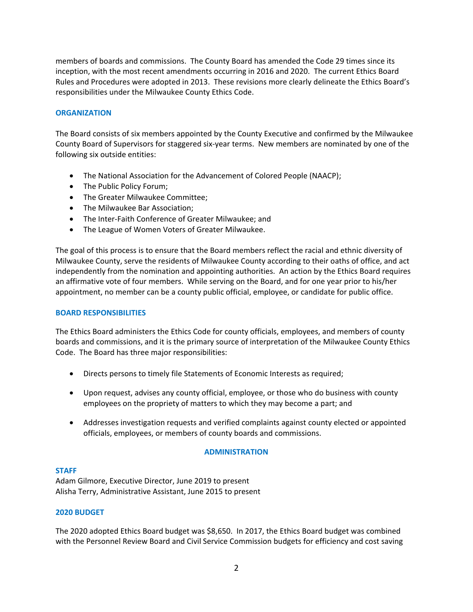members of boards and commissions. The County Board has amended the Code 29 times since its inception, with the most recent amendments occurring in 2016 and 2020. The current Ethics Board Rules and Procedures were adopted in 2013. These revisions more clearly delineate the Ethics Board's responsibilities under the Milwaukee County Ethics Code.

# **ORGANIZATION**

The Board consists of six members appointed by the County Executive and confirmed by the Milwaukee County Board of Supervisors for staggered six-year terms. New members are nominated by one of the following six outside entities:

- The National Association for the Advancement of Colored People (NAACP);
- The Public Policy Forum;
- The Greater Milwaukee Committee;
- The Milwaukee Bar Association;
- The Inter-Faith Conference of Greater Milwaukee; and
- The League of Women Voters of Greater Milwaukee.

The goal of this process is to ensure that the Board members reflect the racial and ethnic diversity of Milwaukee County, serve the residents of Milwaukee County according to their oaths of office, and act independently from the nomination and appointing authorities. An action by the Ethics Board requires an affirmative vote of four members. While serving on the Board, and for one year prior to his/her appointment, no member can be a county public official, employee, or candidate for public office.

## **BOARD RESPONSIBILITIES**

The Ethics Board administers the Ethics Code for county officials, employees, and members of county boards and commissions, and it is the primary source of interpretation of the Milwaukee County Ethics Code. The Board has three major responsibilities:

- Directs persons to timely file Statements of Economic Interests as required;
- Upon request, advises any county official, employee, or those who do business with county employees on the propriety of matters to which they may become a part; and
- Addresses investigation requests and verified complaints against county elected or appointed officials, employees, or members of county boards and commissions.

## **ADMINISTRATION**

## **STAFF**

Adam Gilmore, Executive Director, June 2019 to present Alisha Terry, Administrative Assistant, June 2015 to present

## **2020 BUDGET**

The 2020 adopted Ethics Board budget was \$8,650. In 2017, the Ethics Board budget was combined with the Personnel Review Board and Civil Service Commission budgets for efficiency and cost saving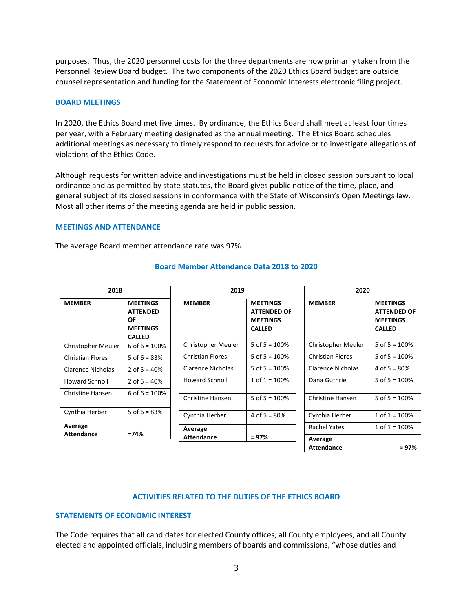purposes. Thus, the 2020 personnel costs for the three departments are now primarily taken from the Personnel Review Board budget. The two components of the 2020 Ethics Board budget are outside counsel representation and funding for the Statement of Economic Interests electronic filing project.

#### **BOARD MEETINGS**

In 2020, the Ethics Board met five times. By ordinance, the Ethics Board shall meet at least four times per year, with a February meeting designated as the annual meeting. The Ethics Board schedules additional meetings as necessary to timely respond to requests for advice or to investigate allegations of violations of the Ethics Code.

Although requests for written advice and investigations must be held in closed session pursuant to local ordinance and as permitted by state statutes, the Board gives public notice of the time, place, and general subject of its closed sessions in conformance with the State of Wisconsin's Open Meetings law. Most all other items of the meeting agenda are held in public session.

#### **MEETINGS AND ATTENDANCE**

The average Board member attendance rate was 97%.

| 2018                    |                                                                              | 2019                    |                                                                           | 2020                    |                                                                           |
|-------------------------|------------------------------------------------------------------------------|-------------------------|---------------------------------------------------------------------------|-------------------------|---------------------------------------------------------------------------|
| <b>MEMBER</b>           | <b>MEETINGS</b><br><b>ATTENDED</b><br>OF<br><b>MEETINGS</b><br><b>CALLED</b> | <b>MEMBER</b>           | <b>MEETINGS</b><br><b>ATTENDED OF</b><br><b>MEETINGS</b><br><b>CALLED</b> | <b>MEMBER</b>           | <b>MEETINGS</b><br><b>ATTENDED OF</b><br><b>MEETINGS</b><br><b>CALLED</b> |
| Christopher Meuler      | 6 of $6 = 100\%$                                                             | Christopher Meuler      | 5 of $5 = 100%$                                                           | Christopher Meuler      | 5 of $5 = 100%$                                                           |
| <b>Christian Flores</b> | 5 of $6 = 83%$                                                               | <b>Christian Flores</b> | 5 of $5 = 100\%$                                                          | <b>Christian Flores</b> | 5 of $5 = 100%$                                                           |
| Clarence Nicholas       | 2 of $5 = 40%$                                                               | Clarence Nicholas       | 5 of $5 = 100\%$                                                          | Clarence Nicholas       | 4 of $5 = 80\%$                                                           |
| <b>Howard Schnoll</b>   | 2 of $5 = 40%$                                                               | <b>Howard Schnoll</b>   | $1$ of $1 = 100\%$                                                        | Dana Guthrie            | 5 of $5 = 100%$                                                           |
| Christine Hansen        | 6 of $6 = 100\%$                                                             | <b>Christine Hansen</b> | 5 of $5 = 100%$                                                           | Christine Hansen        | 5 of $5 = 100%$                                                           |
| Cynthia Herber          | 5 of $6 = 83%$                                                               | Cynthia Herber          | 4 of $5 = 80%$                                                            | Cynthia Herber          | $1$ of $1 = 100\%$                                                        |
| Average                 |                                                                              | Average                 |                                                                           | Rachel Yates            | $1$ of $1 = 100\%$                                                        |
| <b>Attendance</b>       | $=74%$                                                                       | <b>Attendance</b>       | $= 97\%$                                                                  | Average                 |                                                                           |

## **Board Member Attendance Data 2018 to 2020**

## **ACTIVITIES RELATED TO THE DUTIES OF THE ETHICS BOARD**

**Attendance = 97%**

#### **STATEMENTS OF ECONOMIC INTEREST**

The Code requires that all candidates for elected County offices, all County employees, and all County elected and appointed officials, including members of boards and commissions, "whose duties and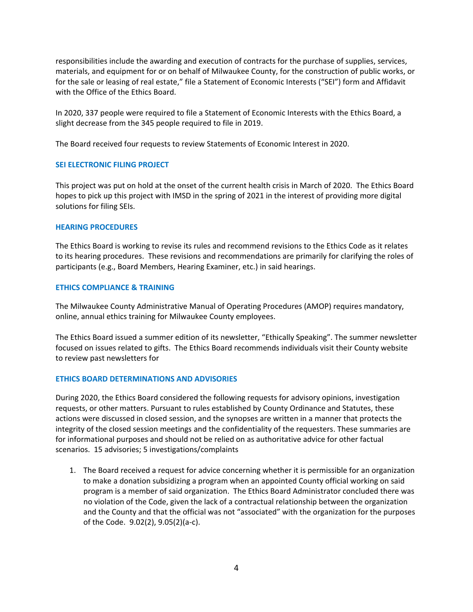responsibilities include the awarding and execution of contracts for the purchase of supplies, services, materials, and equipment for or on behalf of Milwaukee County, for the construction of public works, or for the sale or leasing of real estate," file a Statement of Economic Interests ("SEI") form and Affidavit with the Office of the Ethics Board.

In 2020, 337 people were required to file a Statement of Economic Interests with the Ethics Board, a slight decrease from the 345 people required to file in 2019.

The Board received four requests to review Statements of Economic Interest in 2020.

# **SEI ELECTRONIC FILING PROJECT**

This project was put on hold at the onset of the current health crisis in March of 2020. The Ethics Board hopes to pick up this project with IMSD in the spring of 2021 in the interest of providing more digital solutions for filing SEIs.

## **HEARING PROCEDURES**

The Ethics Board is working to revise its rules and recommend revisions to the Ethics Code as it relates to its hearing procedures. These revisions and recommendations are primarily for clarifying the roles of participants (e.g., Board Members, Hearing Examiner, etc.) in said hearings.

## **ETHICS COMPLIANCE & TRAINING**

The Milwaukee County Administrative Manual of Operating Procedures (AMOP) requires mandatory, online, annual ethics training for Milwaukee County employees.

The Ethics Board issued a summer edition of its newsletter, "Ethically Speaking". The summer newsletter focused on issues related to gifts. The Ethics Board recommends individuals visit their County website to review past newsletters for

## **ETHICS BOARD DETERMINATIONS AND ADVISORIES**

During 2020, the Ethics Board considered the following requests for advisory opinions, investigation requests, or other matters. Pursuant to rules established by County Ordinance and Statutes, these actions were discussed in closed session, and the synopses are written in a manner that protects the integrity of the closed session meetings and the confidentiality of the requesters. These summaries are for informational purposes and should not be relied on as authoritative advice for other factual scenarios. 15 advisories; 5 investigations/complaints

1. The Board received a request for advice concerning whether it is permissible for an organization to make a donation subsidizing a program when an appointed County official working on said program is a member of said organization. The Ethics Board Administrator concluded there was no violation of the Code, given the lack of a contractual relationship between the organization and the County and that the official was not "associated" with the organization for the purposes of the Code. 9.02(2), 9.05(2)(a-c).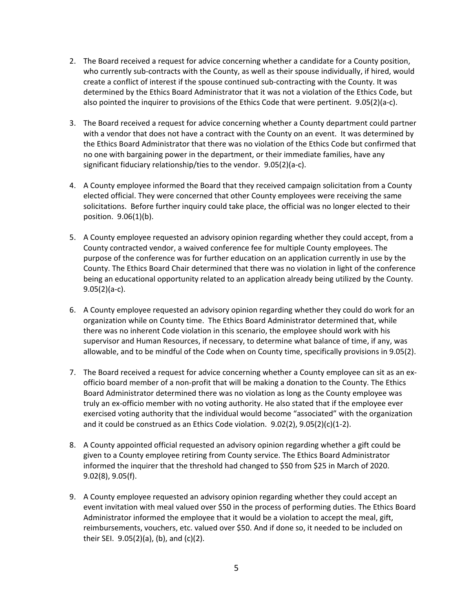- 2. The Board received a request for advice concerning whether a candidate for a County position, who currently sub-contracts with the County, as well as their spouse individually, if hired, would create a conflict of interest if the spouse continued sub-contracting with the County. It was determined by the Ethics Board Administrator that it was not a violation of the Ethics Code, but also pointed the inquirer to provisions of the Ethics Code that were pertinent. 9.05(2)(a-c).
- 3. The Board received a request for advice concerning whether a County department could partner with a vendor that does not have a contract with the County on an event. It was determined by the Ethics Board Administrator that there was no violation of the Ethics Code but confirmed that no one with bargaining power in the department, or their immediate families, have any significant fiduciary relationship/ties to the vendor. 9.05(2)(a-c).
- 4. A County employee informed the Board that they received campaign solicitation from a County elected official. They were concerned that other County employees were receiving the same solicitations. Before further inquiry could take place, the official was no longer elected to their position. 9.06(1)(b).
- 5. A County employee requested an advisory opinion regarding whether they could accept, from a County contracted vendor, a waived conference fee for multiple County employees. The purpose of the conference was for further education on an application currently in use by the County. The Ethics Board Chair determined that there was no violation in light of the conference being an educational opportunity related to an application already being utilized by the County. 9.05(2)(a-c).
- 6. A County employee requested an advisory opinion regarding whether they could do work for an organization while on County time. The Ethics Board Administrator determined that, while there was no inherent Code violation in this scenario, the employee should work with his supervisor and Human Resources, if necessary, to determine what balance of time, if any, was allowable, and to be mindful of the Code when on County time, specifically provisions in 9.05(2).
- 7. The Board received a request for advice concerning whether a County employee can sit as an exofficio board member of a non-profit that will be making a donation to the County. The Ethics Board Administrator determined there was no violation as long as the County employee was truly an ex-officio member with no voting authority. He also stated that if the employee ever exercised voting authority that the individual would become "associated" with the organization and it could be construed as an Ethics Code violation. 9.02(2), 9.05(2)(c)(1-2).
- 8. A County appointed official requested an advisory opinion regarding whether a gift could be given to a County employee retiring from County service. The Ethics Board Administrator informed the inquirer that the threshold had changed to \$50 from \$25 in March of 2020. 9.02(8), 9.05(f).
- 9. A County employee requested an advisory opinion regarding whether they could accept an event invitation with meal valued over \$50 in the process of performing duties. The Ethics Board Administrator informed the employee that it would be a violation to accept the meal, gift, reimbursements, vouchers, etc. valued over \$50. And if done so, it needed to be included on their SEI. 9.05(2)(a), (b), and (c)(2).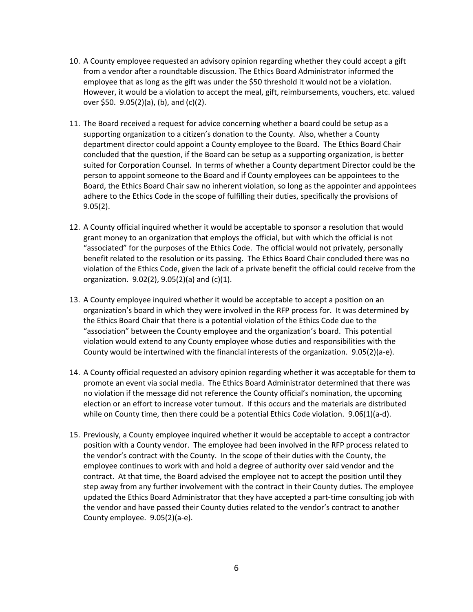- 10. A County employee requested an advisory opinion regarding whether they could accept a gift from a vendor after a roundtable discussion. The Ethics Board Administrator informed the employee that as long as the gift was under the \$50 threshold it would not be a violation. However, it would be a violation to accept the meal, gift, reimbursements, vouchers, etc. valued over \$50. 9.05(2)(a), (b), and (c)(2).
- 11. The Board received a request for advice concerning whether a board could be setup as a supporting organization to a citizen's donation to the County. Also, whether a County department director could appoint a County employee to the Board. The Ethics Board Chair concluded that the question, if the Board can be setup as a supporting organization, is better suited for Corporation Counsel. In terms of whether a County department Director could be the person to appoint someone to the Board and if County employees can be appointees to the Board, the Ethics Board Chair saw no inherent violation, so long as the appointer and appointees adhere to the Ethics Code in the scope of fulfilling their duties, specifically the provisions of 9.05(2).
- 12. A County official inquired whether it would be acceptable to sponsor a resolution that would grant money to an organization that employs the official, but with which the official is not "associated" for the purposes of the Ethics Code. The official would not privately, personally benefit related to the resolution or its passing. The Ethics Board Chair concluded there was no violation of the Ethics Code, given the lack of a private benefit the official could receive from the organization. 9.02(2), 9.05(2)(a) and (c)(1).
- 13. A County employee inquired whether it would be acceptable to accept a position on an organization's board in which they were involved in the RFP process for. It was determined by the Ethics Board Chair that there is a potential violation of the Ethics Code due to the "association" between the County employee and the organization's board. This potential violation would extend to any County employee whose duties and responsibilities with the County would be intertwined with the financial interests of the organization. 9.05(2)(a-e).
- 14. A County official requested an advisory opinion regarding whether it was acceptable for them to promote an event via social media. The Ethics Board Administrator determined that there was no violation if the message did not reference the County official's nomination, the upcoming election or an effort to increase voter turnout. If this occurs and the materials are distributed while on County time, then there could be a potential Ethics Code violation. 9.06(1)(a-d).
- 15. Previously, a County employee inquired whether it would be acceptable to accept a contractor position with a County vendor. The employee had been involved in the RFP process related to the vendor's contract with the County. In the scope of their duties with the County, the employee continues to work with and hold a degree of authority over said vendor and the contract. At that time, the Board advised the employee not to accept the position until they step away from any further involvement with the contract in their County duties. The employee updated the Ethics Board Administrator that they have accepted a part-time consulting job with the vendor and have passed their County duties related to the vendor's contract to another County employee. 9.05(2)(a-e).